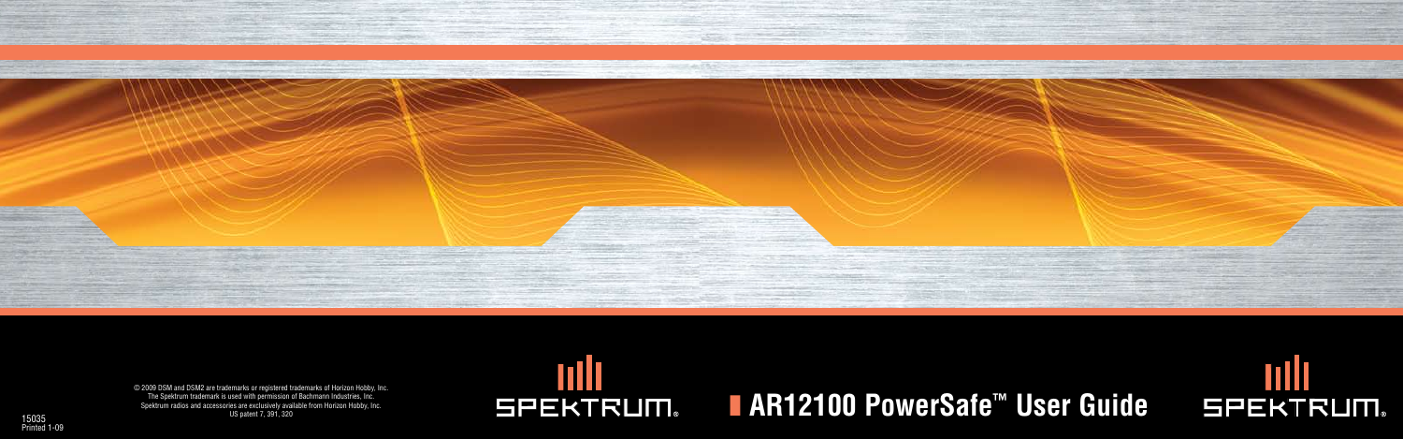



# **SPEKTRUM.**

© 2009 DSM and DSM2 are trademarks or registered trademarks of Horizon Hobby, Inc. The Spektrum trademark is used with permission of Bachmann Industries, Inc. Spektrum radios and accessories are exclusively available from Horizon Hobby, Inc. US patent 7, 391, 320



# 15035<br>15035<br>15035 **Spektrum radios and accessories are exclusively available from Horizon Hobby, Inc. <b>Seed With permission** of Bachmann Industries, Inc. **NAR12100 PowerSafe**  $\textbf{S}$ **afe**  $\textbf{F}^{\textbf{M}}$  **User Guidea <b>Respect**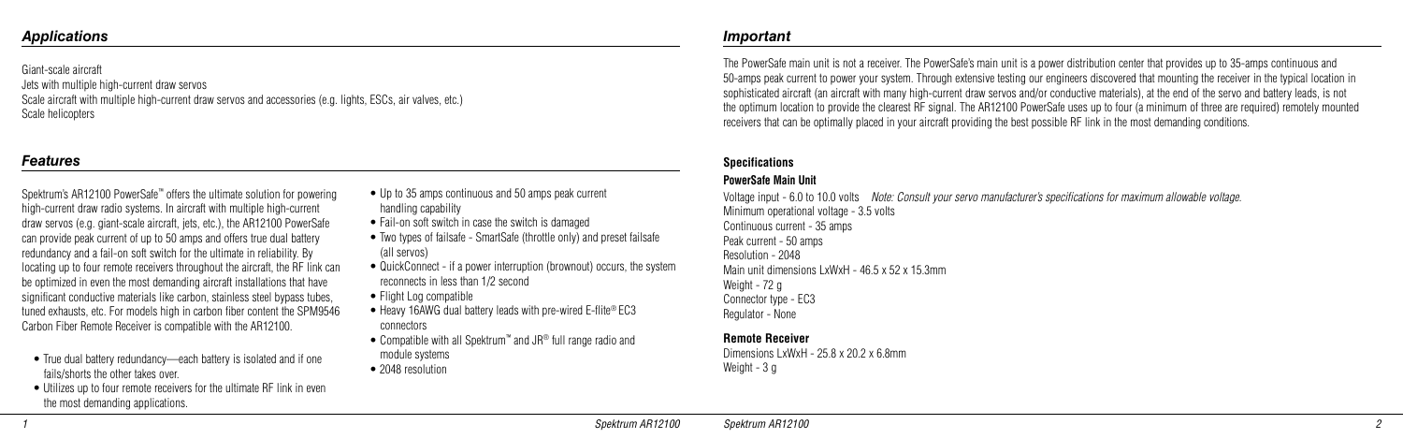Giant-scale aircraft

Jets with multiple high-current draw servos

Scale aircraft with multiple high-current draw servos and accessories (e.g. lights, ESCs, air valves, etc.) Scale helicopters

### *Applications Important*

The PowerSafe main unit is not a receiver. The PowerSafe's main unit is a power distribution center that provides up to 35-amps continuous and 50-amps peak current to power your system. Through extensive testing our engineers discovered that mounting the receiver in the typical location in sophisticated aircraft (an aircraft with many high-current draw servos and/or conductive materials), at the end of the servo and battery leads, is not the optimum location to provide the clearest RF signal. The AR12100 PowerSafe uses up to four (a minimum of three are required) remotely mounted receivers that can be optimally placed in your aircraft providing the best possible RF link in the most demanding conditions.

Dimensions LxWxH - 25.8 x 20.2 x 6.8mm Weight - 3 g

### **Specifications**

### **PowerSafe Main Unit**

Voltage input - 6.0 to 10.0 volts *Note: Consult your servo manufacturer's specifications for maximum allowable voltage.* Minimum operational voltage - 3.5 volts Continuous current - 35 amps Peak current - 50 amps Resolution - 2048 Main unit dimensions LxWxH - 46.5 x 52 x 15.3mm Weight - 72 g Connector type - EC3 Regulator - None

- Up to 35 amps continuous and 50 amps peak current handling capability
- Fail-on soft switch in case the switch is damaged
- Two types of failsafe SmartSafe (throttle only) and preset failsafe (all servos)
- QuickConnect if a power interruption (brownout) occurs, the system reconnects in less than 1/2 second
- Flight Log compatible
- Heavy 16AWG dual battery leads with pre-wired E-flite<sup>®</sup> EC3 connectors
- Compatible with all Spektrum™ and JR® full range radio and module systems
- 2048 resolution

### **Remote Receiver**

### *Features*

Spektrum's AR12100 PowerSafe™ offers the ultimate solution for powering high-current draw radio systems. In aircraft with multiple high-current draw servos (e.g. giant-scale aircraft, jets, etc.), the AR12100 PowerSafe can provide peak current of up to 50 amps and offers true dual battery redundancy and a fail-on soft switch for the ultimate in reliability. By locating up to four remote receivers throughout the aircraft, the RF link can be optimized in even the most demanding aircraft installations that have significant conductive materials like carbon, stainless steel bypass tubes, tuned exhausts, etc. For models high in carbon fiber content the SPM9546 Carbon Fiber Remote Receiver is compatible with the AR12100.

- True dual battery redundancy—each battery is isolated and if one fails/shorts the other takes over.
- Utilizes up to four remote receivers for the ultimate RF link in even the most demanding applications.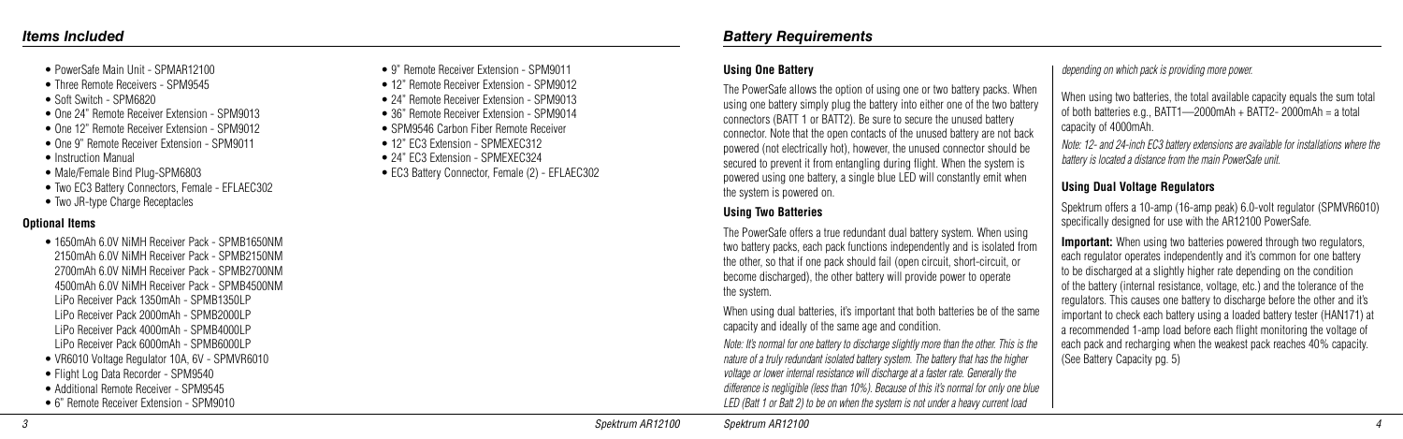- PowerSafe Main Unit SPMAR12100
- Three Remote Receivers SPM9545
- Soft Switch SPM6820
- One 24" Remote Receiver Extension SPM9013
- One 12" Remote Receiver Extension SPM9012
- One 9" Remote Receiver Extension SPM9011
- Instruction Manual
- Male/Female Bind Plug-SPM6803
- Two EC3 Battery Connectors, Female EFLAEC302
- Two JR-type Charge Receptacles

### **Optional Items**

- 1650mAh 6.0V NiMH Receiver Pack SPMB1650NM 2150mAh 6.0V NiMH Receiver Pack - SPMB2150NM 2700mAh 6.0V NiMH Receiver Pack - SPMB2700NM 4500mAh 6.0V NiMH Receiver Pack - SPMB4500NM LiPo Receiver Pack 1350mAh - SPMB1350LP LiPo Receiver Pack 2000mAh - SPMB2000LP LiPo Receiver Pack 4000mAh - SPMB4000LP LiPo Receiver Pack 6000mAh - SPMB6000LP • VR6010 Voltage Regulator 10A, 6V - SPMVR6010
- Flight Log Data Recorder SPM9540
- Additional Remote Receiver SPM9545
- 6" Remote Receiver Extension SPM9010

### **Using One Battery**

The PowerSafe allows the option of using one or two battery packs. When using one battery simply plug the battery into either one of the two battery connectors (BATT 1 or BATT2). Be sure to secure the unused battery connector. Note that the open contacts of the unused battery are not back powered (not electrically hot), however, the unused connector should be secured to prevent it from entangling during flight. When the system is powered using one battery, a single blue LED will constantly emit when the system is powered on.

When using two batteries, the total available capacity equals the sum total of both batteries e.g., BATT1—2000mAh + BATT2- 2000mAh = a total capacity of 4000mAh.

### **Using Two Batteries**

The PowerSafe offers a true redundant dual battery system. When using two battery packs, each pack functions independently and is isolated from the other, so that if one pack should fail (open circuit, short-circuit, or become discharged), the other battery will provide power to operate the system.

**Important:** When using two batteries powered through two regulators, each regulator operates independently and it's common for one battery to be discharged at a slightly higher rate depending on the condition of the battery (internal resistance, voltage, etc.) and the tolerance of the regulators. This causes one battery to discharge before the other and it's important to check each battery using a loaded battery tester (HAN171) at a recommended 1-amp load before each flight monitoring the voltage of each pack and recharging when the weakest pack reaches 40% capacity. (See Battery Capacity pg. 5)

When using dual batteries, it's important that both batteries be of the same capacity and ideally of the same age and condition.

*Note: It's normal for one battery to discharge slightly more than the other. This is the nature of a truly redundant isolated battery system. The battery that has the higher voltage or lower internal resistance will discharge at a faster rate. Generally the difference is negligible (less than 10%). Because of this it's normal for only one blue LED (Batt 1 or Batt 2) to be on when the system is not under a heavy current load* 

*depending on which pack is providing more power.*

*Note: 12- and 24-inch EC3 battery extensions are available for installations where the battery is located a distance from the main PowerSafe unit.* 

### **Using Dual Voltage Regulators**

Spektrum offers a 10-amp (16-amp peak) 6.0-volt regulator (SPMVR6010) specifically designed for use with the AR12100 PowerSafe.

- 9" Remote Receiver Extension SPM9011
- 12" Remote Receiver Extension SPM9012
- 24" Remote Receiver Extension SPM9013
- 36" Remote Receiver Extension SPM9014
- SPM9546 Carbon Fiber Remote Receiver
- 12" EC3 Extension SPMEXEC312
- 24" FC3 Extension SPMEXEC324
- EC3 Battery Connector, Female (2) EFLAEC302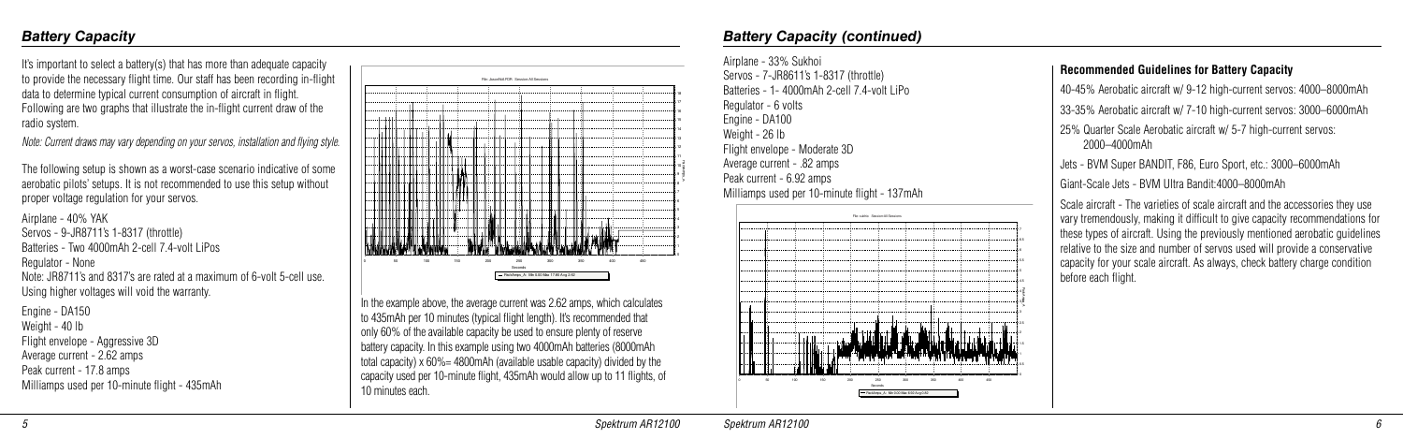It's important to select a battery(s) that has more than adequate capacity to provide the necessary flight time. Our staff has been recording in-flight data to determine typical current consumption of aircraft in flight. Following are two graphs that illustrate the in-flight current draw of the radio system.

*Note: Current draws may vary depending on your servos, installation and flying style.*

The following setup is shown as a worst-case scenario indicative of some aerobatic pilots' setups. It is not recommended to use this setup without proper voltage regulation for your servos.

Airplane - 40% YAK Servos - 9-JR8711's 1-8317 (throttle) Batteries - Two 4000mAh 2-cell 7.4-volt LiPos Regulator - None Note: JR8711's and 8317's are rated at a maximum of 6-volt 5-cell use. Using higher voltages will void the warranty.

Engine - DA150 Weight - 40 lb Flight envelope - Aggressive 3D Average current - 2.62 amps Peak current - 17.8 amps Milliamps used per 10-minute flight - 435mAh

### *Battery Capacity*



In the example above, the average current was 2.62 amps, which calculates to 435mAh per 10 minutes (typical flight length). It's recommended that only 60% of the available capacity be used to ensure plenty of reserve battery capacity. In this example using two 4000mAh batteries (8000mAh total capacity) x 60%= 4800mAh (available usable capacity) divided by the capacity used per 10-minute flight, 435mAh would allow up to 11 flights, of 10 minutes each.

| Airplane - 33% Sukhoi                                                                |                 |
|--------------------------------------------------------------------------------------|-----------------|
| Servos - 7-JR8611's 1-8317 (throttle)<br>Batteries - 1- 4000mAh 2-cell 7.4-volt LiPo |                 |
| Regulator - 6 volts                                                                  |                 |
| Engine - DA100                                                                       |                 |
| Weight - 26 lb                                                                       |                 |
| Flight envelope - Moderate 3D                                                        |                 |
| Average current - .82 amps                                                           |                 |
| Peak current - 6.92 amps                                                             |                 |
| Milliamps used per 10-minute flight - 137mAh                                         |                 |
| File: sukhio Session:All Sessions                                                    |                 |
|                                                                                      |                 |
|                                                                                      |                 |
|                                                                                      | 55              |
|                                                                                      |                 |
|                                                                                      | 45              |
|                                                                                      | co<br>Wolunying |
|                                                                                      |                 |
|                                                                                      |                 |
|                                                                                      |                 |
|                                                                                      | n s             |
|                                                                                      |                 |
| 100<br>50<br>150<br>200<br>250<br>300<br>350<br>450<br>400                           |                 |

### *Battery Capacity (continued)*

### **Recommended Guidelines for Battery Capacity**

- 40-45% Aerobatic aircraft w/ 9-12 high-current servos: 4000–8000mAh
- 33-35% Aerobatic aircraft w/ 7-10 high-current servos: 3000–6000mAh
- 25% Quarter Scale Aerobatic aircraft w/ 5-7 high-current servos: 2000–4000mAh
- s BVM Super BANDIT, F86, Euro Sport, etc.: 3000–6000mAh
- Giant-Scale Jets BVM Ultra Bandit:4000–8000mAh

ale aircraft - The varieties of scale aircraft and the accessories they use y tremendously, making it difficult to give capacity recommendations for se types of aircraft. Using the previously mentioned aerobatic guidelines ative to the size and number of servos used will provide a conservative acity for your scale aircraft. As always, check battery charge condition fore each flight.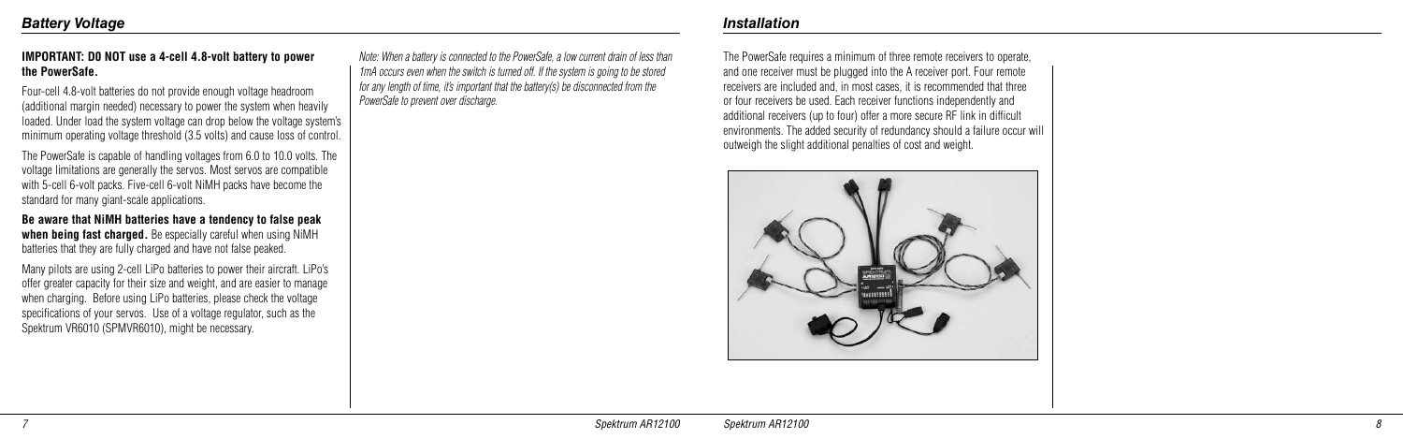### **IMPORTANT: D0 NOT use a 4-cell 4.8-volt battery to power the PowerSafe.**

Four-cell 4.8-volt batteries do not provide enough voltage headroom (additional margin needed) necessary to power the system when heavily loaded. Under load the system voltage can drop below the voltage system's minimum operating voltage threshold (3.5 volts) and cause loss of control.

The PowerSafe is capable of handling voltages from 6.0 to 10.0 volts. The voltage limitations are generally the servos. Most servos are compatible with 5-cell 6-volt packs. Five-cell 6-volt NiMH packs have become the standard for many giant-scale applications.

**Be aware that NiMH batteries have a tendency to false peak when being fast charged.** Be especially careful when using NiMH batteries that they are fully charged and have not false peaked.

Many pilots are using 2-cell LiPo batteries to power their aircraft. LiPo's offer greater capacity for their size and weight, and are easier to manage when charging. Before using LiPo batteries, please check the voltage specifications of your servos. Use of a voltage regulator, such as the Spektrum VR6010 (SPMVR6010), might be necessary.

*Note: When a battery is connected to the PowerSafe, a low current drain of less than 1mA occurs even when the switch is turned off. If the system is going to be stored for any length of time, it's important that the battery(s) be disconnected from the PowerSafe to prevent over discharge.* 

### *Installation*

The PowerSafe requires a minimum of three remote receivers to operate, and one receiver must be plugged into the A receiver port. Four remote receivers are included and, in most cases, it is recommended that three or four receivers be used. Each receiver functions independently and additional receivers (up to four) offer a more secure RF link in difficult environments. The added security of redundancy should a failure occur will outweigh the slight additional penalties of cost and weight.

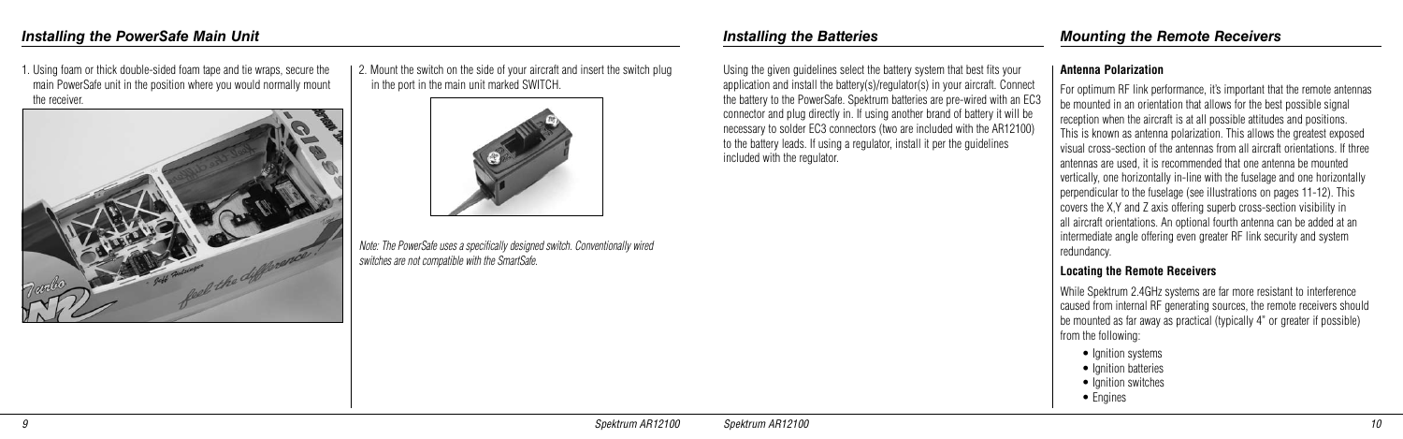2. Mount the switch on the side of your aircraft and insert the switch plug in the port in the main unit marked SWITCH.



*Note: The PowerSafe uses a specifically designed switch. Conventionally wired switches are not compatible with the SmartSafe.* 

1. Using foam or thick double-sided foam tape and tie wraps, secure the main PowerSafe unit in the position where you would normally mount the receiver.



Using the given guidelines select the battery system that best fits your application and install the battery(s)/regulator(s) in your aircraft. Connect the battery to the PowerSafe. Spektrum batteries are pre-wired with an EC3 connector and plug directly in. If using another brand of battery it will be necessary to solder EC3 connectors (two are included with the AR12100) to the battery leads. If using a regulator, install it per the guidelines included with the regulator.

### **Antenna Polarization**

- Ignition systems
- Ignition batteries
- Ignition switches
- Engines

For optimum RF link performance, it's important that the remote antennas be mounted in an orientation that allows for the best possible signal reception when the aircraft is at all possible attitudes and positions. This is known as antenna polarization. This allows the greatest exposed visual cross-section of the antennas from all aircraft orientations. If three antennas are used, it is recommended that one antenna be mounted vertically, one horizontally in-line with the fuselage and one horizontally perpendicular to the fuselage (see illustrations on pages 11-12). This covers the X,Y and Z axis offering superb cross-section visibility in all aircraft orientations. An optional fourth antenna can be added at an intermediate angle offering even greater RF link security and system

redundancy.

- 
- 

### **Locating the Remote Receivers**

While Spektrum 2.4GHz systems are far more resistant to interference caused from internal RF generating sources, the remote receivers should be mounted as far away as practical (typically 4" or greater if possible) from the following: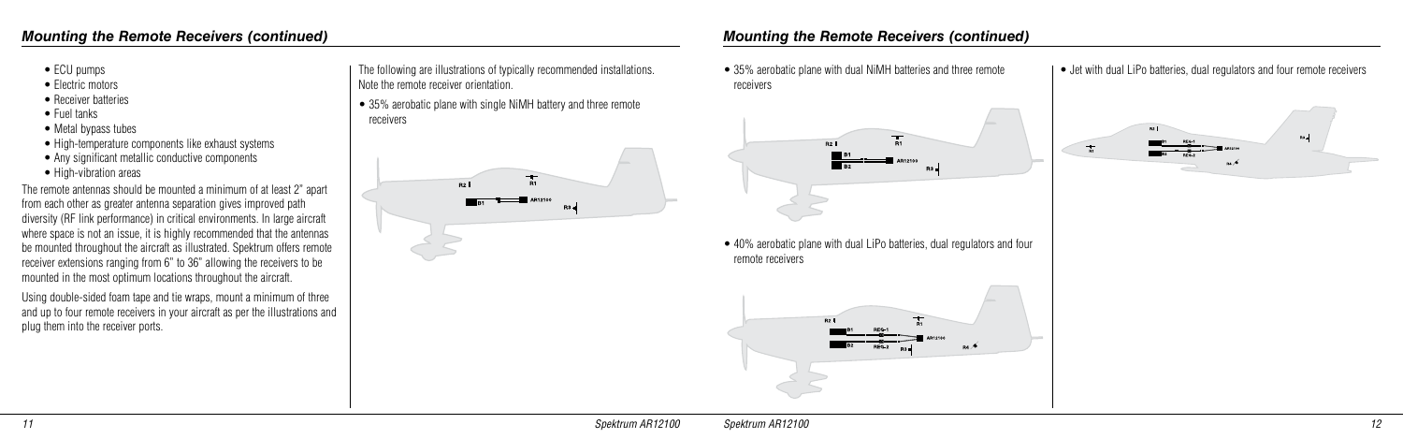- ECU pumps
- Electric motors
- Receiver batteries
- Fuel tanks
- Metal bypass tubes
- High-temperature components like exhaust systems
- Any significant metallic conductive components
- High-vibration areas

The remote antennas should be mounted a minimum of at least 2" apart from each other as greater antenna separation gives improved path diversity (RF link performance) in critical environments. In large aircraft where space is not an issue, it is highly recommended that the antennas be mounted throughout the aircraft as illustrated. Spektrum offers remote receiver extensions ranging from 6" to 36" allowing the receivers to be mounted in the most optimum locations throughout the aircraft.

• 35% aerobatic plane with single NiMH battery and three remote receivers



• 40% aerobatic plane with dual LiPo batteries, dual regulators and four remote receivers



Using double-sided foam tape and tie wraps, mount a minimum of three and up to four remote receivers in your aircraft as per the illustrations and plug them into the receiver ports.

The following are illustrations of typically recommended installations. Note the remote receiver orientation.

• 35% aerobatic plane with dual NiMH batteries and three remote receivers



• Jet with dual LiPo batteries, dual regulators and four remote receivers

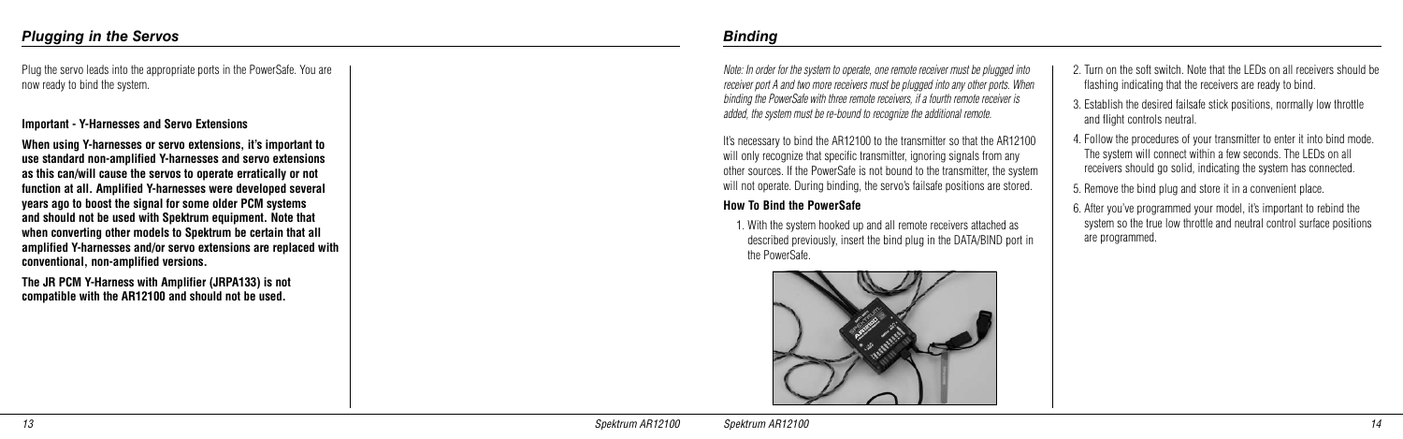Plug the servo leads into the appropriate ports in the PowerSafe. You are now ready to bind the system.

### **Important - Y-Harnesses and Servo Extensions**

**When using Y-harnesses or servo extensions, it's important to use standard non-amplified Y-harnesses and servo extensions as this can/will cause the servos to operate erratically or not function at all. Amplified Y-harnesses were developed several years ago to boost the signal for some older PCM systems and should not be used with Spektrum equipment. Note that when converting other models to Spektrum be certain that all amplified Y-harnesses and/or servo extensions are replaced with conventional, non-amplified versions.**

It's necessary to bind the AR12100 to the transmitter so that the AR12100 will only recognize that specific transmitter, ignoring signals from any other sources. If the PowerSafe is not bound to the transmitter, the system will not operate. During binding, the servo's failsafe positions are stored.

**The JR PCM Y-Harness with Amplifier (JRPA133) is not compatible with the AR12100 and should not be used.**

*Note: In order for the system to operate, one remote receiver must be plugged into receiver port A and two more receivers must be plugged into any other ports. When binding the PowerSafe with three remote receivers, if a fourth remote receiver is added, the system must be re-bound to recognize the additional remote.*

### **How To Bind the PowerSafe**

1. With the system hooked up and all remote receivers attached as described previously, insert the bind plug in the DATA/BIND port in the PowerSafe.



### *Binding*

- 2. Turn on the soft switch. Note that the LEDs on all receivers should be flashing indicating that the receivers are ready to bind.
- 3. Establish the desired failsafe stick positions, normally low throttle and flight controls neutral.
- 4. Follow the procedures of your transmitter to enter it into bind mode. The system will connect within a few seconds. The LEDs on all receivers should go solid, indicating the system has connected.
- 5. Remove the bind plug and store it in a convenient place.
- 6. After you've programmed your model, it's important to rebind the system so the true low throttle and neutral control surface positions are programmed.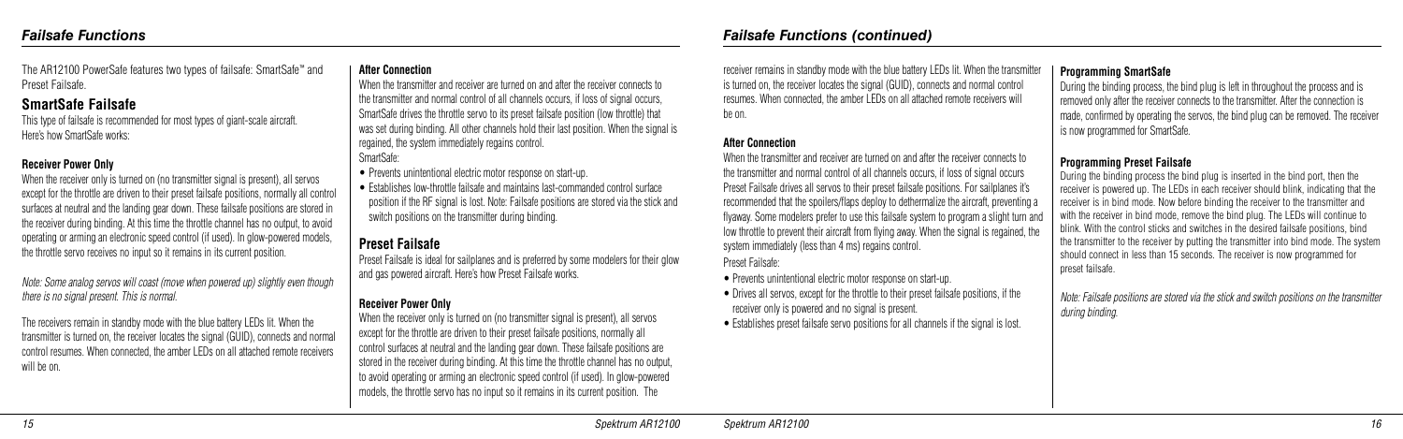The AR12100 PowerSafe features two types of failsafe: SmartSafe™ and Preset Failsafe.

### **SmartSafe Failsafe**

This type of failsafe is recommended for most types of giant-scale aircraft. Here's how SmartSafe works:

### **Receiver Power Only**

When the receiver only is turned on (no transmitter signal is present), all servos except for the throttle are driven to their preset failsafe positions, normally all control surfaces at neutral and the landing gear down. These failsafe positions are stored in the receiver during binding. At this time the throttle channel has no output, to avoid operating or arming an electronic speed control (if used). In glow-powered models, the throttle servo receives no input so it remains in its current position.

When the transmitter and receiver are turned on and after the receiver connects to the transmitter and normal control of all channels occurs, if loss of signal occurs, SmartSafe drives the throttle servo to its preset failsafe position (low throttle) that was set during binding. All other channels hold their last position. When the signal is regained, the system immediately regains control. SmartSafe:

*Note: Some analog servos will coast (move when powered up) slightly even though there is no signal present. This is normal.*

The receivers remain in standby mode with the blue battery LEDs lit. When the transmitter is turned on, the receiver locates the signal (GUID), connects and normal control resumes. When connected, the amber LEDs on all attached remote receivers will be on.

### **After Connection**

When the receiver only is turned on (no transmitter signal is present), all servos except for the throttle are driven to their preset failsafe positions, normally all control surfaces at neutral and the landing gear down. These failsafe positions are stored in the receiver during binding. At this time the throttle channel has no output, to avoid operating or arming an electronic speed control (if used). In glow-powered models, the throttle servo has no input so it remains in its current position. The

- Prevents unintentional electric motor response on start-up.
- Establishes low-throttle failsafe and maintains last-commanded control surface position if the RF signal is lost. Note: Failsafe positions are stored via the stick and switch positions on the transmitter during binding.

### **Preset Failsafe**

Preset Failsafe is ideal for sailplanes and is preferred by some modelers for their glow and gas powered aircraft. Here's how Preset Failsafe works.

### **Receiver Power Only**

receiver remains in standby mode with the blue battery LEDs lit. When the transmitter

is turned on, the receiver locates the signal (GUID), connects and normal control resumes. When connected, the amber LEDs on all attached remote receivers will be on.

### **After Connection**

When the transmitter and receiver are turned on and after the receiver connects to the transmitter and normal control of all channels occurs, if loss of signal occurs Preset Failsafe drives all servos to their preset failsafe positions. For sailplanes it's recommended that the spoilers/flaps deploy to dethermalize the aircraft, preventing a flyaway. Some modelers prefer to use this failsafe system to program a slight turn and low throttle to prevent their aircraft from flying away. When the signal is regained, the system immediately (less than 4 ms) regains control.

Preset Failsafe:

- Prevents unintentional electric motor response on start-up.
- Drives all servos, except for the throttle to their preset failsafe positions, if the receiver only is powered and no signal is present.
- Establishes preset failsafe servo positions for all channels if the signal is lost.

### **Programming SmartSafe**

During the binding process, the bind plug is left in throughout the process and is removed only after the receiver connects to the transmitter. After the connection is made, confirmed by operating the servos, the bind plug can be removed. The receiver is now programmed for SmartSafe.

### **Programming Preset Failsafe**

During the binding process the bind plug is inserted in the bind port, then the receiver is powered up. The LEDs in each receiver should blink, indicating that the receiver is in bind mode. Now before binding the receiver to the transmitter and with the receiver in bind mode, remove the bind plug. The LEDs will continue to blink. With the control sticks and switches in the desired failsafe positions, bind the transmitter to the receiver by putting the transmitter into bind mode. The system should connect in less than 15 seconds. The receiver is now programmed for

preset failsafe.

*Note: Failsafe positions are stored via the stick and switch positions on the transmitter* 

*Failsafe Functions (continued)*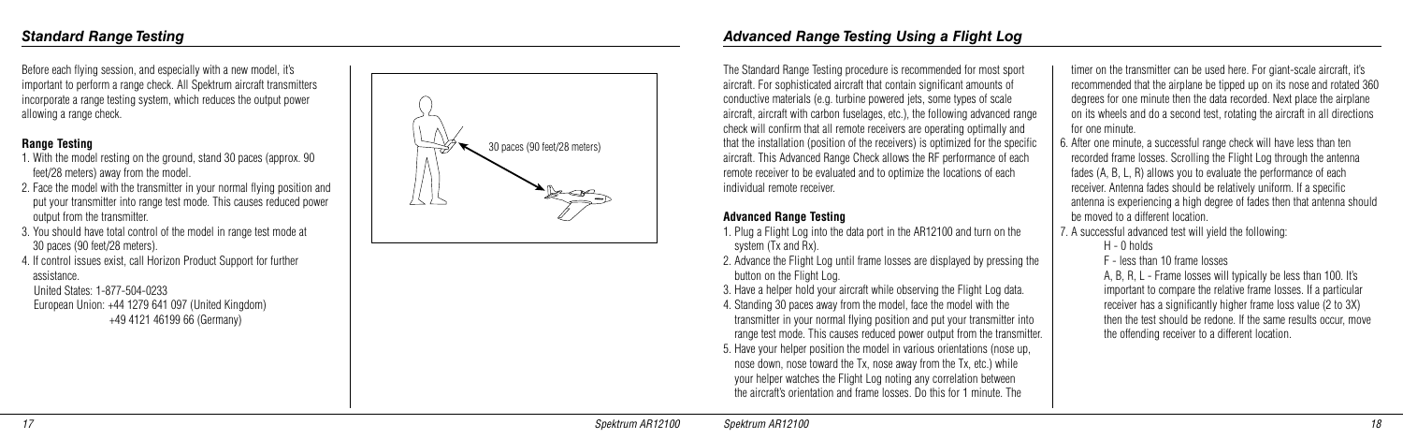Before each flying session, and especially with a new model, it's important to perform a range check. All Spektrum aircraft transmitters incorporate a range testing system, which reduces the output power allowing a range check.

### **Range Testing**

- 1. With the model resting on the ground, stand 30 paces (approx. 90 feet/28 meters) away from the model.
- 2. Face the model with the transmitter in your normal flying position and put your transmitter into range test mode. This causes reduced power output from the transmitter.
- 3. You should have total control of the model in range test mode at 30 paces (90 feet/28 meters).
- 4. If control issues exist, call Horizon Product Support for further assistance.

 United States: 1-877-504-0233 European Union: +44 1279 641 097 (United Kingdom) +49 4121 46199 66 (Germany)

The Standard Range Testing procedure is recommended for most sport aircraft. For sophisticated aircraft that contain significant amounts of conductive materials (e.g. turbine powered jets, some types of scale aircraft, aircraft with carbon fuselages, etc.), the following advanced range check will confirm that all remote receivers are operating optimally and that the installation (position of the receivers) is optimized for the specific aircraft. This Advanced Range Check allows the RF performance of each remote receiver to be evaluated and to optimize the locations of each individual remote receiver.

### **Advanced Range Testing**

- 1. Plug a Flight Log into the data port in the AR12100 and turn on the system (Tx and Rx).
- 2. Advance the Flight Log until frame losses are displayed by pressing the button on the Flight Log.
- 3. Have a helper hold your aircraft while observing the Flight Log data.
- 4. Standing 30 paces away from the model, face the model with the transmitter in your normal flying position and put your transmitter into range test mode. This causes reduced power output from the transmitter.
- 5. Have your helper position the model in various orientations (nose up, nose down, nose toward the Tx, nose away from the Tx, etc.) while your helper watches the Flight Log noting any correlation between the aircraft's orientation and frame losses. Do this for 1 minute. The

timer on the transmitter can be used here. For giant-scale aircraft, it's recommended that the airplane be tipped up on its nose and rotated 360 degrees for one minute then the data recorded. Next place the airplane on its wheels and do a second test, rotating the aircraft in all directions for one minute.

6. After one minute, a successful range check will have less than ten recorded frame losses. Scrolling the Flight Log through the antenna fades (A, B, L, R) allows you to evaluate the performance of each receiver. Antenna fades should be relatively uniform. If a specific antenna is experiencing a high degree of fades then that antenna should be moved to a different location.

7. A successful advanced test will yield the following:

H - 0 holds

F - less than 10 frame losses

 A, B, R, L - Frame losses will typically be less than 100. It's important to compare the relative frame losses. If a particular receiver has a significantly higher frame loss value (2 to 3X) then the test should be redone. If the same results occur, move the offending receiver to a different location.

# *Advanced Range Testing Using a Flight Log*

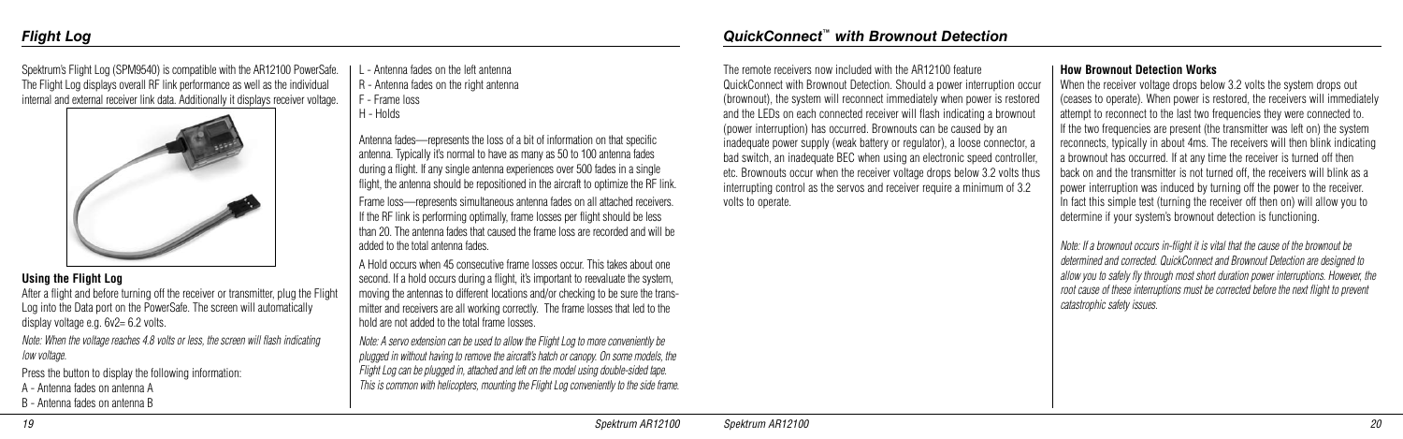After a flight and before turning off the receiver or transmitter, plug the Flight Log into the Data port on the PowerSafe. The screen will automatically display voltage e.g.  $6v^2 = 6.2$  volts.

Spektrum's Flight Log (SPM9540) is compatible with the AR12100 PowerSafe. The Flight Log displays overall RF link performance as well as the individual internal and external receiver link data. Additionally it displays receiver voltage.



### **Using the Flight Log**

*Note: When the voltage reaches 4.8 volts or less, the screen will flash indicating low voltage.*

Press the button to display the following information:

- A Antenna fades on antenna A
- B Antenna fades on antenna B
- L Antenna fades on the left antenna
- R Antenna fades on the right antenna
- F Frame loss
- H Holds

Antenna fades—represents the loss of a bit of information on that specific antenna. Typically it's normal to have as many as 50 to 100 antenna fades during a flight. If any single antenna experiences over 500 fades in a single flight, the antenna should be repositioned in the aircraft to optimize the RF link. Frame loss—represents simultaneous antenna fades on all attached receivers.

If the RF link is performing optimally, frame losses per flight should be less than 20. The antenna fades that caused the frame loss are recorded and will be added to the total antenna fades.

A Hold occurs when 45 consecutive frame losses occur. This takes about one second. If a hold occurs during a flight, it's important to reevaluate the system, moving the antennas to different locations and/or checking to be sure the transmitter and receivers are all working correctly. The frame losses that led to the hold are not added to the total frame losses.

*Note: A servo extension can be used to allow the Flight Log to more conveniently be plugged in without having to remove the aircraft's hatch or canopy. On some models, the Flight Log can be plugged in, attached and left on the model using double-sided tape. This is common with helicopters, mounting the Flight Log conveniently to the side frame.*

# *Flight Log*

The remote receivers now included with the AR12100 feature QuickConnect with Brownout Detection. Should a power interruption occur (brownout), the system will reconnect immediately when power is restored and the LEDs on each connected receiver will flash indicating a brownout (power interruption) has occurred. Brownouts can be caused by an inadequate power supply (weak battery or regulator), a loose connector, a bad switch, an inadequate BEC when using an electronic speed controller, etc. Brownouts occur when the receiver voltage drops below 3.2 volts thus interrupting control as the servos and receiver require a minimum of 3.2 volts to operate.

### **How Brownout Detection Works**

When the receiver voltage drops below 3.2 volts the system drops out (ceases to operate). When power is restored, the receivers will immediately attempt to reconnect to the last two frequencies they were connected to. If the two frequencies are present (the transmitter was left on) the system reconnects, typically in about 4ms. The receivers will then blink indicating a brownout has occurred. If at any time the receiver is turned off then back on and the transmitter is not turned off, the receivers will blink as a power interruption was induced by turning off the power to the receiver. In fact this simple test (turning the receiver off then on) will allow you to determine if your system's brownout detection is functioning.

*Note: If a brownout occurs in-flight it is vital that the cause of the brownout be determined and corrected. QuickConnect and Brownout Detection are designed to allow you to safely fly through most short duration power interruptions. However, the root cause of these interruptions must be corrected before the next flight to prevent catastrophic safety issues.* 

*QuickConnect™ with Brownout Detection*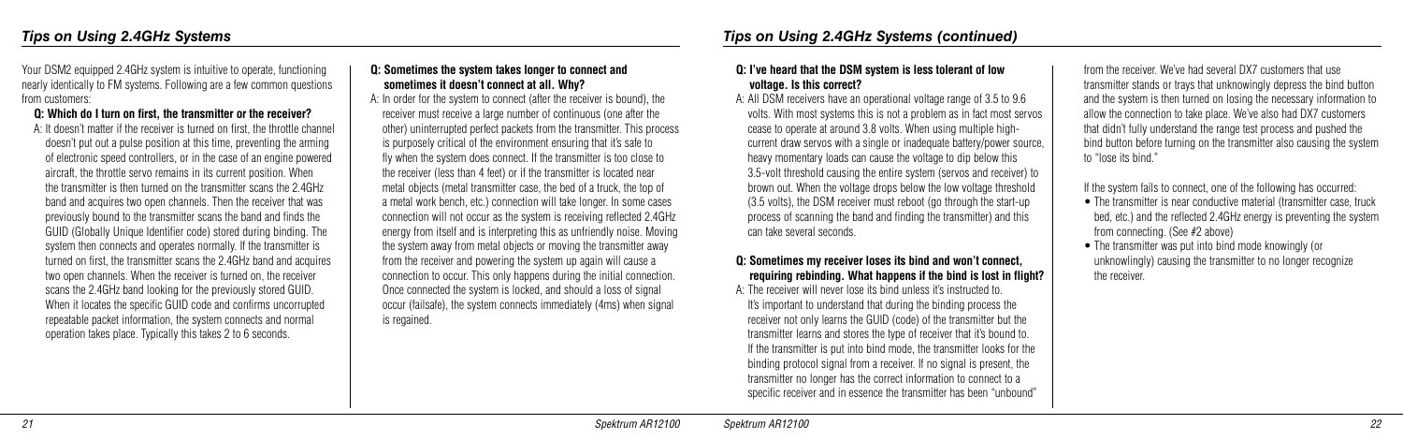Your DSM2 equipped 2.4GHz system is intuitive to operate, functioning nearly identically to FM systems. Following are a few common questions from customers:

### **Q: Which do I turn on first, the transmitter or the receiver?**

 A: It doesn't matter if the receiver is turned on first, the throttle channel doesn't put out a pulse position at this time, preventing the arming of electronic speed controllers, or in the case of an engine powered aircraft, the throttle servo remains in its current position. When the transmitter is then turned on the transmitter scans the 2.4GHz band and acquires two open channels. Then the receiver that was previously bound to the transmitter scans the band and finds the GUID (Globally Unique Identifier code) stored during binding. The system then connects and operates normally. If the transmitter is turned on first, the transmitter scans the 2.4GHz band and acquires two open channels. When the receiver is turned on, the receiver scans the 2.4GHz band looking for the previously stored GUID. When it locates the specific GUID code and confirms uncorrupted repeatable packet information, the system connects and normal operation takes place. Typically this takes 2 to 6 seconds.

### **Q: Sometimes the system takes longer to connect and sometimes it doesn't connect at all. Why?**

 A: In order for the system to connect (after the receiver is bound), the receiver must receive a large number of continuous (one after the other) uninterrupted perfect packets from the transmitter. This process is purposely critical of the environment ensuring that it's safe to fly when the system does connect. If the transmitter is too close to the receiver (less than 4 feet) or if the transmitter is located near metal objects (metal transmitter case, the bed of a truck, the top of a metal work bench, etc.) connection will take longer. In some cases connection will not occur as the system is receiving reflected 2.4GHz energy from itself and is interpreting this as unfriendly noise. Moving the system away from metal objects or moving the transmitter away from the receiver and powering the system up again will cause a connection to occur. This only happens during the initial connection. Once connected the system is locked, and should a loss of signal occur (failsafe), the system connects immediately (4ms) when signal is regained.

• The transmitter was put into bind mode knowingly (or unknowlingly) causing the transmitter to no longer recognize the receiver.

### **Q: I've heard that the DSM system is less tolerant of low voltage. Is this correct?**

 A: All DSM receivers have an operational voltage range of 3.5 to 9.6 volts. With most systems this is not a problem as in fact most servos cease to operate at around 3.8 volts. When using multiple highcurrent draw servos with a single or inadequate battery/power source, heavy momentary loads can cause the voltage to dip below this 3.5-volt threshold causing the entire system (servos and receiver) to brown out. When the voltage drops below the low voltage threshold (3.5 volts), the DSM receiver must reboot (go through the start-up process of scanning the band and finding the transmitter) and this can take several seconds.

### **Q: Sometimes my receiver loses its bind and won't connect, requiring rebinding. What happens if the bind is lost in flight?**

 A: The receiver will never lose its bind unless it's instructed to. It's important to understand that during the binding process the receiver not only learns the GUID (code) of the transmitter but the transmitter learns and stores the type of receiver that it's bound to. If the transmitter is put into bind mode, the transmitter looks for the binding protocol signal from a receiver. If no signal is present, the transmitter no longer has the correct information to connect to a specific receiver and in essence the transmitter has been "unbound"

from the receiver. We've had several DX7 customers that use transmitter stands or trays that unknowingly depress the bind button and the system is then turned on losing the necessary information to allow the connection to take place. We've also had DX7 customers that didn't fully understand the range test process and pushed the bind button before turning on the transmitter also causing the system to "lose its bind."

If the system fails to connect, one of the following has occurred: • The transmitter is near conductive material (transmitter case, truck bed, etc.) and the reflected 2.4GHz energy is preventing the system from connecting. (See #2 above)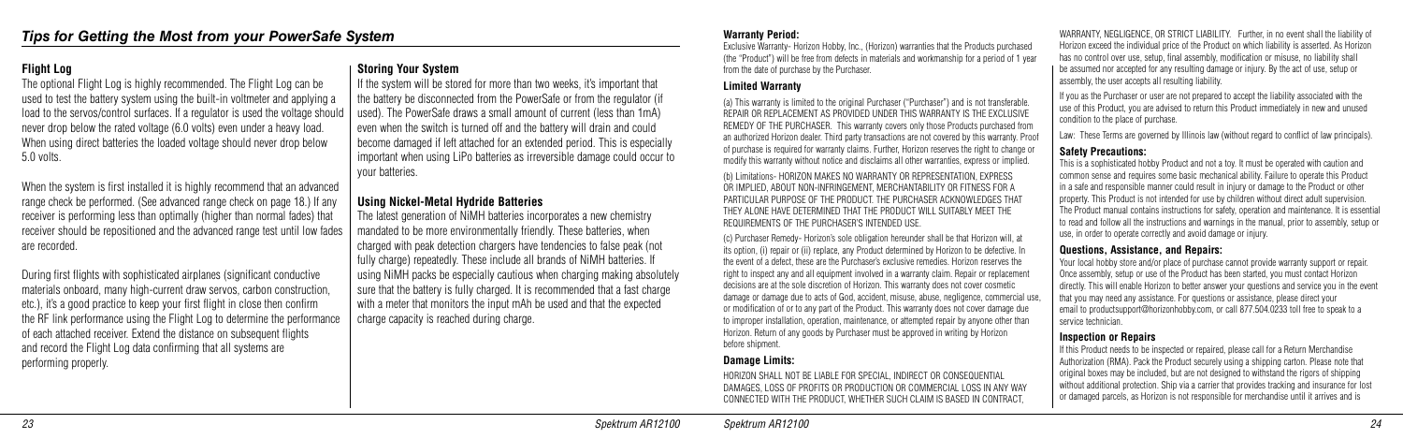### **Flight Log**

The optional Flight Log is highly recommended. The Flight Log can be used to test the battery system using the built-in voltmeter and applying a load to the servos/control surfaces. If a regulator is used the voltage should never drop below the rated voltage (6.0 volts) even under a heavy load. When using direct batteries the loaded voltage should never drop below 5.0 volts.

When the system is first installed it is highly recommend that an advanced range check be performed. (See advanced range check on page 18.) If any receiver is performing less than optimally (higher than normal fades) that receiver should be repositioned and the advanced range test until low fades are recorded.

If the system will be stored for more than two weeks, it's important that the battery be disconnected from the PowerSafe or from the regulator (if used). The PowerSafe draws a small amount of current (less than 1mA) even when the switch is turned off and the battery will drain and could become damaged if left attached for an extended period. This is especially important when using LiPo batteries as irreversible damage could occur to your batteries.

During first flights with sophisticated airplanes (significant conductive materials onboard, many high-current draw servos, carbon construction, etc.), it's a good practice to keep your first flight in close then confirm the RF link performance using the Flight Log to determine the performance of each attached receiver. Extend the distance on subsequent flights and record the Flight Log data confirming that all systems are performing properly.

### **Storing Your System**

### **Using Nickel-Metal Hydride Batteries**

The latest generation of NiMH batteries incorporates a new chemistry mandated to be more environmentally friendly. These batteries, when charged with peak detection chargers have tendencies to false peak (not fully charge) repeatedly. These include all brands of NiMH batteries. If using NiMH packs be especially cautious when charging making absolutely sure that the battery is fully charged. It is recommended that a fast charge with a meter that monitors the input mAh be used and that the expected charge capacity is reached during charge.

> HORIZON SHALL NOT BE LIABLE FOR SPECIAL, INDIRECT OR CONSEQUENTIAL DAMAGES, LOSS OF PROFITS OR PRODUCTION OR COMMERCIAL LOSS IN ANY WAY CONNECTED WITH THE PRODUCT, WHETHER SUCH CLAIM IS BASED IN CONTRACT

### **Warranty Period:**

Exclusive Warranty- Horizon Hobby, Inc., (Horizon) warranties that the Products purchased (the "Product") will be free from defects in materials and workmanship for a period of 1 year from the date of purchase by the Purchaser.

### **Limited Warranty**

(a) This warranty is limited to the original Purchaser ("Purchaser") and is not transferable. REPAIR OR REPLACEMENT AS PROVIDED UNDER THIS WARRANTY IS THE EXCLUSIVE REMEDY OF THE PURCHASER. This warranty covers only those Products purchased from an authorized Horizon dealer. Third party transactions are not covered by this warranty. Proof of purchase is required for warranty claims. Further, Horizon reserves the right to change or modify this warranty without notice and disclaims all other warranties, express or implied.

(b) Limitations- HORIZON MAKES NO WARRANTY OR REPRESENTATION, EXPRESS OR IMPLIED, ABOUT NON-INFRINGEMENT, MERCHANTABILITY OR FITNESS FOR A PARTICULAR PURPOSE OF THE PRODUCT. THE PURCHASER ACKNOWLEDGES THAT THEY ALONE HAVE DETERMINED THAT THE PRODUCT WILL SUITABLY MEET THE REQUIREMENTS OF THE PURCHASER'S INTENDED USE.

(c) Purchaser Remedy- Horizon's sole obligation hereunder shall be that Horizon will, at its option, (i) repair or (ii) replace, any Product determined by Horizon to be defective. In the event of a defect, these are the Purchaser's exclusive remedies. Horizon reserves the right to inspect any and all equipment involved in a warranty claim. Repair or replacement decisions are at the sole discretion of Horizon. This warranty does not cover cosmetic damage or damage due to acts of God, accident, misuse, abuse, negligence, commercial use, or modification of or to any part of the Product. This warranty does not cover damage due to improper installation, operation, maintenance, or attempted repair by anyone other than Horizon. Return of any goods by Purchaser must be approved in writing by Horizon before shipment.

### **Damage Limits:**

WARRANTY, NEGLIGENCE, OR STRICT LIABILITY. Further, in no event shall the liability of Horizon exceed the individual price of the Product on which liability is asserted. As Horizon has no control over use, setup, final assembly, modification or misuse, no liability shall be assumed nor accepted for any resulting damage or injury. By the act of use, setup or assembly, the user accepts all resulting liability.

If you as the Purchaser or user are not prepared to accept the liability associated with the use of this Product, you are advised to return this Product immediately in new and unused condition to the place of purchase.

Law: These Terms are governed by Illinois law (without regard to conflict of law principals).

### **Safety Precautions:**

This is a sophisticated hobby Product and not a toy. It must be operated with caution and common sense and requires some basic mechanical ability. Failure to operate this Product in a safe and responsible manner could result in injury or damage to the Product or other property. This Product is not intended for use by children without direct adult supervision. The Product manual contains instructions for safety, operation and maintenance. It is essential to read and follow all the instructions and warnings in the manual, prior to assembly, setup or use, in order to operate correctly and avoid damage or injury.

### **Questions, Assistance, and Repairs:**

Your local hobby store and/or place of purchase cannot provide warranty support or repair. Once assembly, setup or use of the Product has been started, you must contact Horizon directly. This will enable Horizon to better answer your questions and service you in the event that you may need any assistance. For questions or assistance, please direct your email to productsupport@horizonhobby.com, or call 877.504.0233 toll free to speak to a

service technician.

### **Inspection or Repairs**

If this Product needs to be inspected or repaired, please call for a Return Merchandise Authorization (RMA). Pack the Product securely using a shipping carton. Please note that original boxes may be included, but are not designed to withstand the rigors of shipping without additional protection. Ship via a carrier that provides tracking and insurance for lost or damaged parcels, as Horizon is not responsible for merchandise until it arrives and is